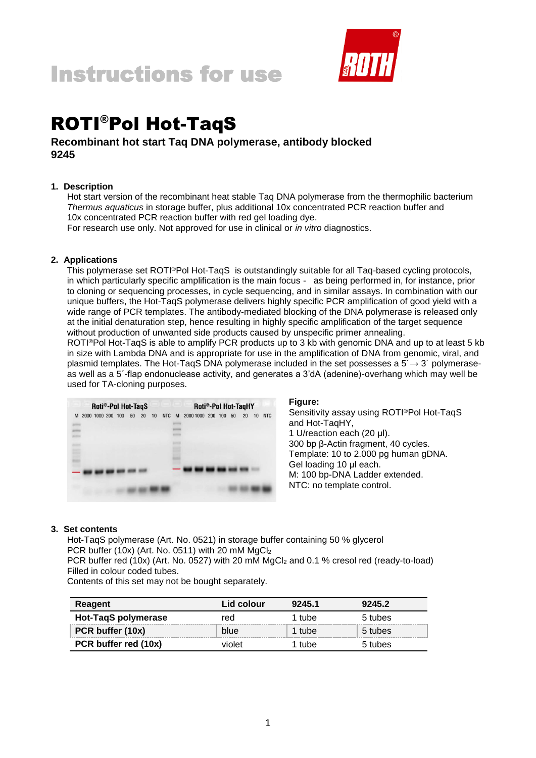

# ROTI®Pol Hot-TaqS

# **Recombinant hot start Taq DNA polymerase, antibody blocked 9245**

# **1. Description**

Hot start version of the recombinant heat stable Taq DNA polymerase from the thermophilic bacterium *Thermus aquaticus* in storage buffer, plus additional 10x concentrated PCR reaction buffer and 10x concentrated PCR reaction buffer with red gel loading dye.

For research use only. Not approved for use in clinical or *in vitro* diagnostics.

# **2. Applications**

This polymerase set ROTI®Pol Hot-TaqS is outstandingly suitable for all Taq-based cycling protocols, in which particularly specific amplification is the main focus - as being performed in, for instance, prior to cloning or sequencing processes, in cycle sequencing, and in similar assays. In combination with our unique buffers, the Hot-TaqS polymerase delivers highly specific PCR amplification of good yield with a wide range of PCR templates. The antibody-mediated blocking of the DNA polymerase is released only at the initial denaturation step, hence resulting in highly specific amplification of the target sequence without production of unwanted side products caused by unspecific primer annealing.

ROTI®Pol Hot-TaqS is able to amplify PCR products up to 3 kb with genomic DNA and up to at least 5 kb in size with Lambda DNA and is appropriate for use in the amplification of DNA from genomic, viral, and plasmid templates. The Hot-TaqS DNA polymerase included in the set possesses a  $5\rightarrow 3'$  polymeraseas well as a 5´-flap endonuclease activity, and generates a 3'dA (adenine)-overhang which may well be used for TA-cloning purposes.

| Roti®-Pol Hot-TaqS |  |  |  |  | Roti®-Pol Hot-TaqHY |    |    |    |            |   |  |                      |  |  |  |    |    |            |
|--------------------|--|--|--|--|---------------------|----|----|----|------------|---|--|----------------------|--|--|--|----|----|------------|
| M                  |  |  |  |  | 2000 1000 200 100   | 50 | 20 | 10 | <b>NTC</b> | M |  | 2000 1000 200 100 50 |  |  |  | 20 | 10 | <b>NTC</b> |
|                    |  |  |  |  |                     |    |    |    |            |   |  |                      |  |  |  |    |    |            |
|                    |  |  |  |  |                     |    |    |    |            |   |  |                      |  |  |  |    |    |            |
| ۰<br>E             |  |  |  |  |                     |    |    |    |            |   |  |                      |  |  |  |    |    |            |
|                    |  |  |  |  |                     |    |    |    |            |   |  |                      |  |  |  |    |    |            |
|                    |  |  |  |  |                     |    |    |    |            |   |  |                      |  |  |  |    |    |            |
|                    |  |  |  |  |                     |    |    |    |            |   |  |                      |  |  |  |    |    |            |
|                    |  |  |  |  |                     |    |    |    |            |   |  |                      |  |  |  |    |    |            |

**Figure:**

Sensitivity assay using ROTI®Pol Hot-TaqS and Hot-TaqHY, 1 U/reaction each (20 μl). 300 bp β-Actin fragment, 40 cycles. Template: 10 to 2.000 pg human gDNA. Gel loading 10 μl each. M: 100 bp-DNA Ladder extended. NTC: no template control.

# **3. Set contents**

Hot-TaqS polymerase (Art. No. 0521) in storage buffer containing 50 % glycerol PCR buffer (10x) (Art. No. 0511) with 20 mM MgCl<sub>2</sub> PCR buffer red (10x) (Art. No. 0527) with 20 mM MgCl<sub>2</sub> and 0.1 % cresol red (ready-to-load) Filled in colour coded tubes.

Contents of this set may not be bought separately.

| Reagent              | Lid colour | 9245.1 | 9245.2  |
|----------------------|------------|--------|---------|
| Hot-TaqS polymerase  | red        | 1 tube | 5 tubes |
| PCR buffer (10x)     | blue       | 1 tube | 5 tubes |
| PCR buffer red (10x) | violet     | 1 tube | 5 tubes |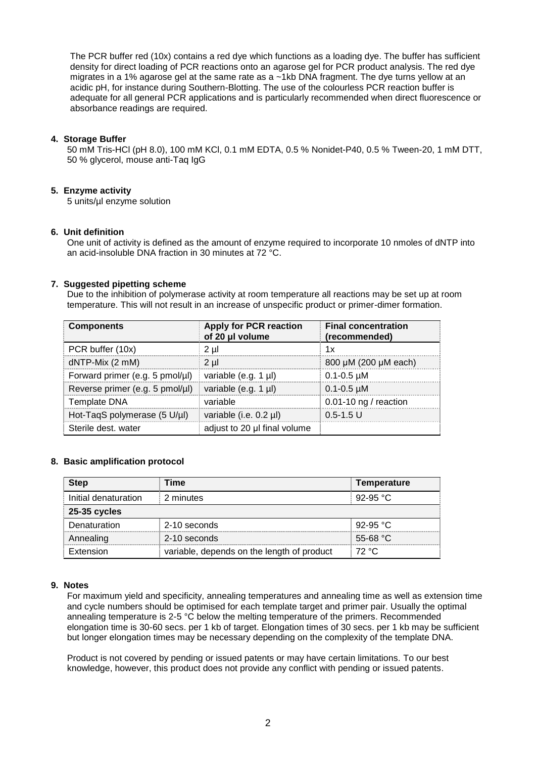The PCR buffer red (10x) contains a red dye which functions as a loading dye. The buffer has sufficient density for direct loading of PCR reactions onto an agarose gel for PCR product analysis. The red dye migrates in a 1% agarose gel at the same rate as a ~1kb DNA fragment. The dye turns yellow at an acidic pH, for instance during Southern-Blotting. The use of the colourless PCR reaction buffer is adequate for all general PCR applications and is particularly recommended when direct fluorescence or absorbance readings are required.

# **4. Storage Buffer**

50 mM Tris-HCl (pH 8.0), 100 mM KCl, 0.1 mM EDTA, 0.5 % Nonidet-P40, 0.5 % Tween-20, 1 mM DTT, 50 % glycerol, mouse anti-Taq IgG

# **5. Enzyme activity**

5 units/µl enzyme solution

# **6. Unit definition**

One unit of activity is defined as the amount of enzyme required to incorporate 10 nmoles of dNTP into an acid-insoluble DNA fraction in 30 minutes at 72 °C.

# **7. Suggested pipetting scheme**

Due to the inhibition of polymerase activity at room temperature all reactions may be set up at room temperature. This will not result in an increase of unspecific product or primer-dimer formation.

| <b>Components</b>               | <b>Apply for PCR reaction</b><br>of 20 µl volume | <b>Final concentration</b><br>(recommended) |
|---------------------------------|--------------------------------------------------|---------------------------------------------|
| PCR buffer (10x)                | 2 µl                                             | 1x                                          |
| dNTP-Mix (2 mM)                 | $2 \mu$                                          | 800 µM (200 µM each)                        |
| Forward primer (e.g. 5 pmol/µl) | variable (e.g. 1 $\mu$ I)                        | $0.1 - 0.5$ $\mu$ M                         |
| Reverse primer (e.g. 5 pmol/µl) | variable (e.g. 1 µl)                             | $0.1 - 0.5$ µM                              |
| <b>Template DNA</b>             | variable                                         | 0.01-10 ng / reaction                       |
| Hot-TaqS polymerase (5 U/µl)    | variable (i.e. 0.2 µl)                           | $0.5 - 1.5$ U                               |
| Sterile dest. water             | adjust to 20 µl final volume                     |                                             |

# **8. Basic amplification protocol**

| <b>Step</b>          | Time                                       | Temperature        |
|----------------------|--------------------------------------------|--------------------|
| Initial denaturation | 2 minutes                                  | 92-95 °C           |
| <b>25-35 cycles</b>  |                                            |                    |
| Denaturation         | 2-10 seconds                               | 92-95 °C           |
| Annealing            | 2-10 seconds                               | 55-68 $^{\circ}$ C |
| Extension            | variable, depends on the length of product | 72 °C              |

# **9. Notes**

For maximum yield and specificity, annealing temperatures and annealing time as well as extension time and cycle numbers should be optimised for each template target and primer pair. Usually the optimal annealing temperature is 2-5 °C below the melting temperature of the primers. Recommended elongation time is 30-60 secs. per 1 kb of target. Elongation times of 30 secs. per 1 kb may be sufficient but longer elongation times may be necessary depending on the complexity of the template DNA.

Product is not covered by pending or issued patents or may have certain limitations. To our best knowledge, however, this product does not provide any conflict with pending or issued patents.